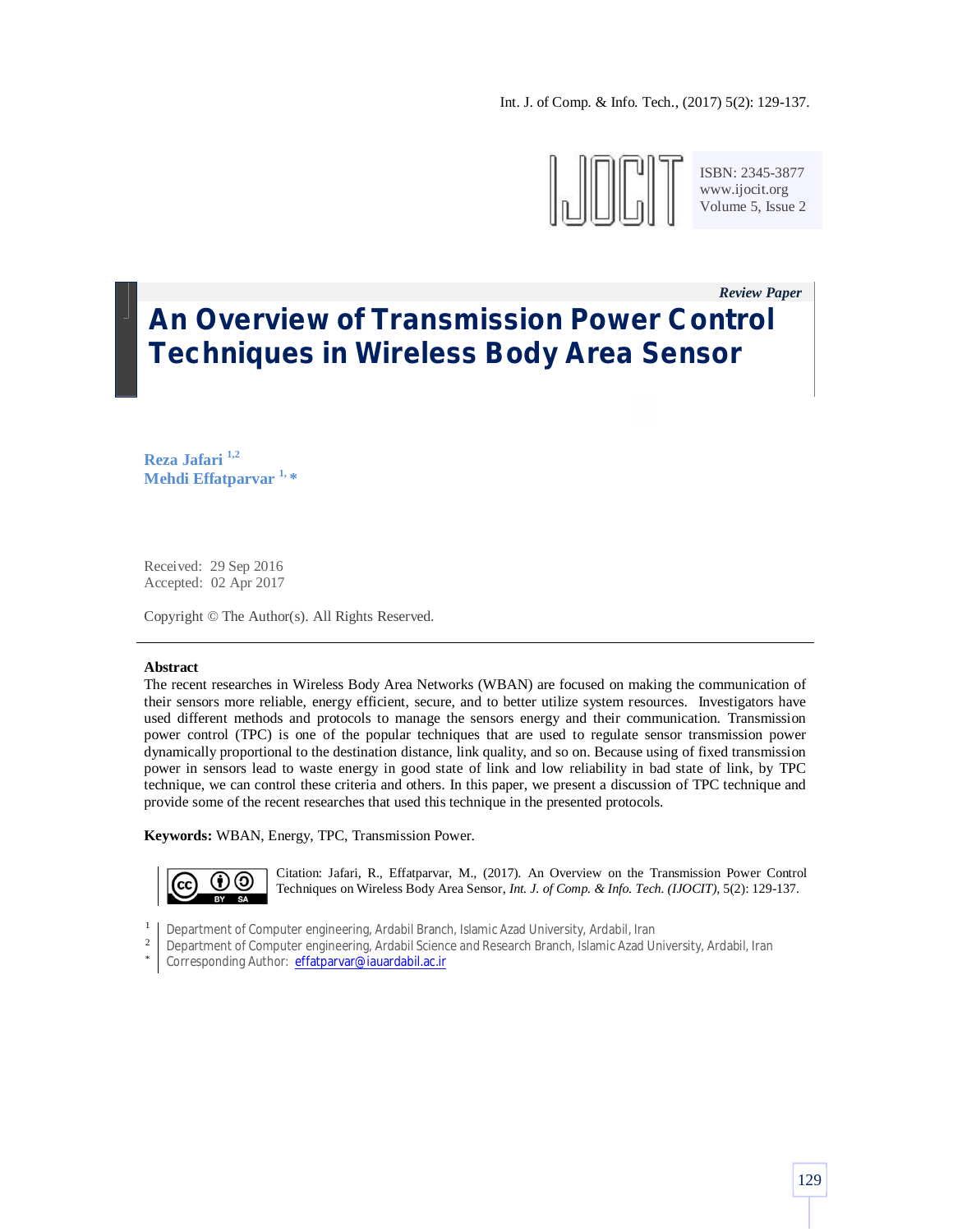

ISBN: 2345-3877 www.ijocit.org Volume 5, Issue 2

*Review Paper\_\_*

# **An Overview of Transmission Power Control Techniques in Wireless Body Area Sensor**

**Reza Jafari 1,2 Mehdi Effatparvar 1, \***

Received: 29 Sep 2016 Accepted: 02 Apr 2017

Copyright © The Author(s). All Rights Reserved.

## **Abstract**

The recent researches in Wireless Body Area Networks (WBAN) are focused on making the communication of their sensors more reliable, energy efficient, secure, and to better utilize system resources. Investigators have used different methods and protocols to manage the sensors energy and their communication. Transmission power control (TPC) is one of the popular techniques that are used to regulate sensor transmission power dynamically proportional to the destination distance, link quality, and so on. Because using of fixed transmission power in sensors lead to waste energy in good state of link and low reliability in bad state of link, by TPC technique, we can control these criteria and others. In this paper, we present a discussion of TPC technique and provide some of the recent researches that used this technique in the presented protocols.

**Keywords:** WBAN, Energy, TPC, Transmission Power.



Citation: Jafari, R., Effatparvar, M., (2017). An Overview on the Transmission Power Control Techniques on Wireless Body Area Sensor, *Int. J. of Comp. & Info. Tech. (IJOCIT)*, 5(2): 129-137.

- 1 Department of Computer engineering, Ardabil Branch, Islamic Azad University, Ardabil, Iran
- 2 Department of Computer engineering, Ardabil Science and Research Branch, Islamic Azad University, Ardabil, Iran
- \* Corresponding Author: effatparvar@iauardabil.ac.ir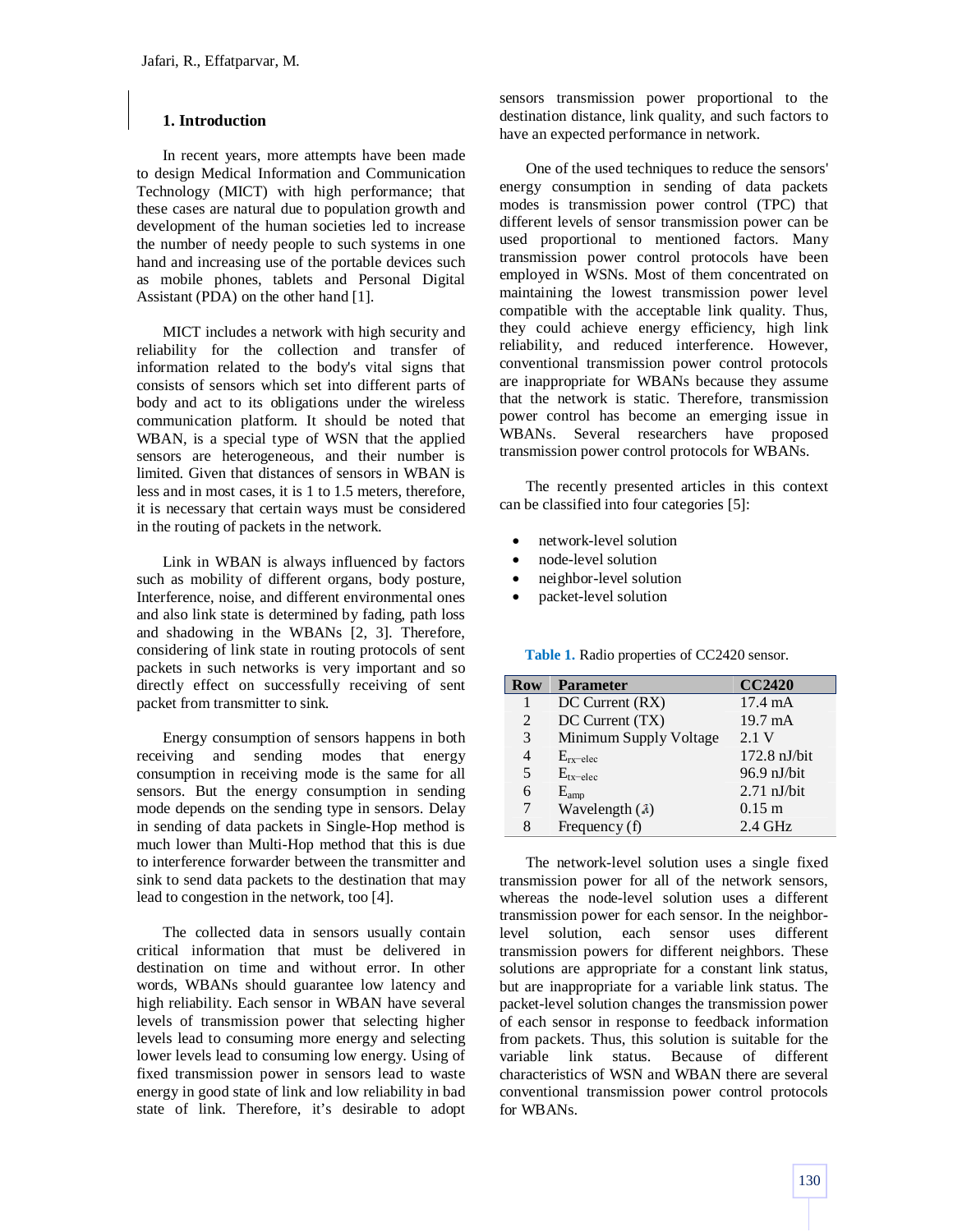# **1. Introduction**

In recent years, more attempts have been made to design Medical Information and Communication Technology (MICT) with high performance; that these cases are natural due to population growth and development of the human societies led to increase the number of needy people to such systems in one hand and increasing use of the portable devices such as mobile phones, tablets and Personal Digital Assistant (PDA) on the other hand [1].

MICT includes a network with high security and reliability for the collection and transfer of information related to the body's vital signs that consists of sensors which set into different parts of body and act to its obligations under the wireless communication platform. It should be noted that WBAN, is a special type of WSN that the applied sensors are heterogeneous, and their number is limited. Given that distances of sensors in WBAN is less and in most cases, it is 1 to 1.5 meters, therefore, it is necessary that certain ways must be considered in the routing of packets in the network.

Link in WBAN is always influenced by factors such as mobility of different organs, body posture, Interference, noise, and different environmental ones and also link state is determined by fading, path loss and shadowing in the WBANs [2, 3]. Therefore, considering of link state in routing protocols of sent packets in such networks is very important and so directly effect on successfully receiving of sent packet from transmitter to sink.

Energy consumption of sensors happens in both receiving and sending modes that energy consumption in receiving mode is the same for all sensors. But the energy consumption in sending mode depends on the sending type in sensors. Delay in sending of data packets in Single-Hop method is much lower than Multi-Hop method that this is due to interference forwarder between the transmitter and sink to send data packets to the destination that may lead to congestion in the network, too [4].

The collected data in sensors usually contain critical information that must be delivered in destination on time and without error. In other words, WBANs should guarantee low latency and high reliability. Each sensor in WBAN have several levels of transmission power that selecting higher levels lead to consuming more energy and selecting lower levels lead to consuming low energy. Using of fixed transmission power in sensors lead to waste energy in good state of link and low reliability in bad state of link. Therefore, it's desirable to adopt sensors transmission power proportional to the destination distance, link quality, and such factors to have an expected performance in network.

One of the used techniques to reduce the sensors' energy consumption in sending of data packets modes is transmission power control (TPC) that different levels of sensor transmission power can be used proportional to mentioned factors. Many transmission power control protocols have been employed in WSNs. Most of them concentrated on maintaining the lowest transmission power level compatible with the acceptable link quality. Thus, they could achieve energy efficiency, high link reliability, and reduced interference. However, conventional transmission power control protocols are inappropriate for WBANs because they assume that the network is static. Therefore, transmission power control has become an emerging issue in WBANs. Several researchers have proposed transmission power control protocols for WBANs.

The recently presented articles in this context can be classified into four categories [5]:

- network-level solution
- node-level solution
- neighbor-level solution
- packet-level solution

**Table 1.** Radio properties of CC2420 sensor.

| <b>Row</b> | <b>Parameter</b>       | <b>CC2420</b>     |
|------------|------------------------|-------------------|
|            | DC Current (RX)        | $17.4 \text{ mA}$ |
| 2          | DC Current (TX)        | $19.7 \text{ mA}$ |
| 3          | Minimum Supply Voltage | 2.1 V             |
| 4          | $E_{rx-elec}$          | $172.8$ nJ/bit    |
| 5          | $E_{tx-elec}$          | $96.9$ nJ/bit     |
| 6          | $E_{amp}$              | $2.71$ nJ/bit     |
| 7          | Wavelength $(3)$       | $0.15 \;{\rm m}$  |
| 8          | Frequency $(f)$        | $2.4$ GHz         |

The network-level solution uses a single fixed transmission power for all of the network sensors, whereas the node-level solution uses a different transmission power for each sensor. In the neighborlevel solution, each sensor uses different transmission powers for different neighbors. These solutions are appropriate for a constant link status, but are inappropriate for a variable link status. The packet-level solution changes the transmission power of each sensor in response to feedback information from packets. Thus, this solution is suitable for the variable link status. Because of different characteristics of WSN and WBAN there are several conventional transmission power control protocols for WBANs.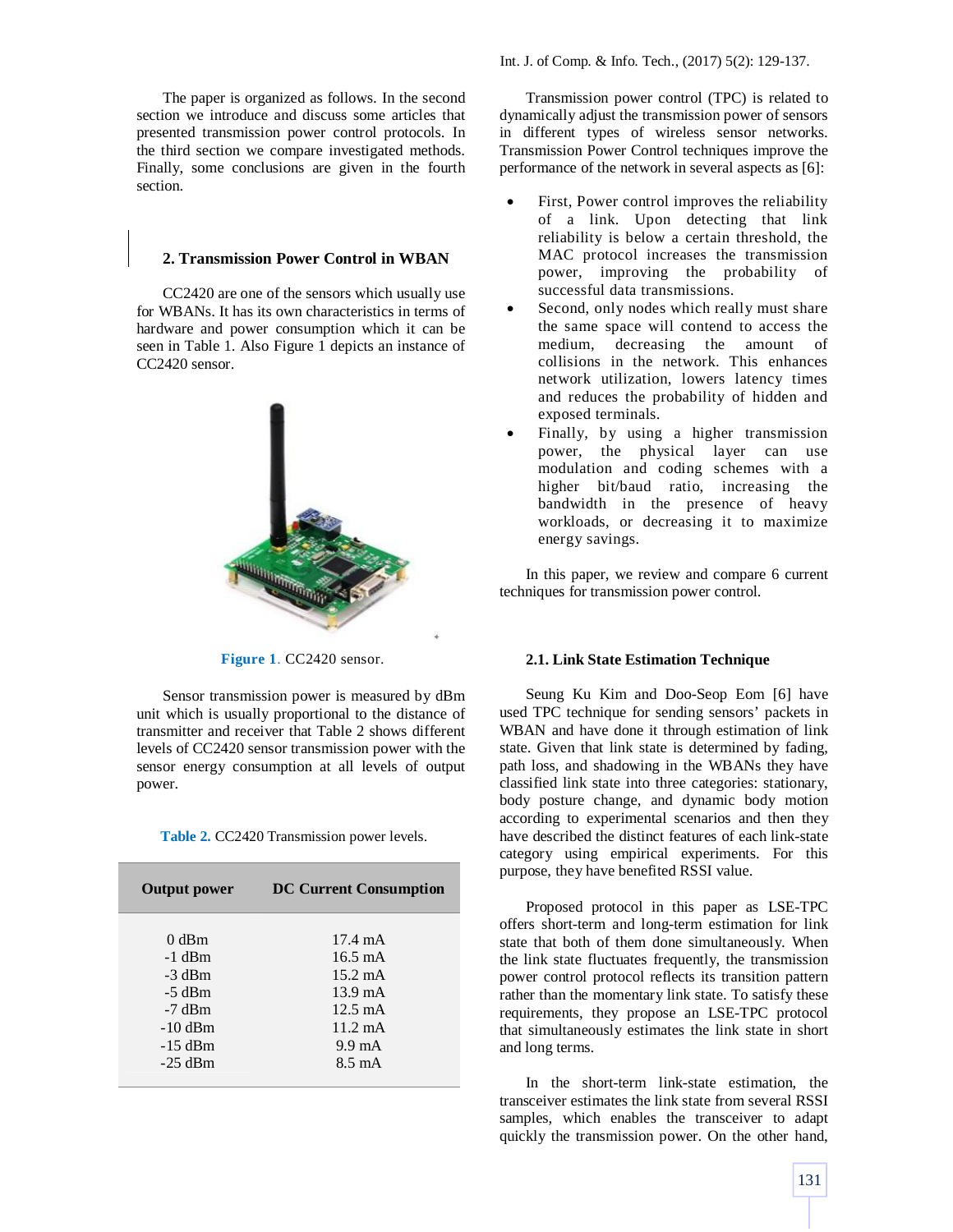The paper is organized as follows. In the second section we introduce and discuss some articles that presented transmission power control protocols. In the third section we compare investigated methods. Finally, some conclusions are given in the fourth section.

## **2. Transmission Power Control in WBAN**

CC2420 are one of the sensors which usually use for WBANs. It has its own characteristics in terms of hardware and power consumption which it can be seen in Table 1. Also Figure 1 depicts an instance of CC2420 sensor.



**Figure 1**. CC2420 sensor.

Sensor transmission power is measured by dBm unit which is usually proportional to the distance of transmitter and receiver that Table 2 shows different levels of CC2420 sensor transmission power with the sensor energy consumption at all levels of output power.

**Table 2.** CC2420 Transmission power levels.

| <b>Output power</b>                                                                        | <b>DC Current Consumption</b>                                                                                                                                      |
|--------------------------------------------------------------------------------------------|--------------------------------------------------------------------------------------------------------------------------------------------------------------------|
| $0$ dBm<br>-1 dBm<br>-3 dBm<br>$-5$ dBm<br>$-7$ dBm<br>$-10$ dBm<br>$-15$ dBm<br>$-25$ dBm | $17.4 \text{ mA}$<br>$16.5 \text{ mA}$<br>$15.2 \text{ mA}$<br>$13.9 \text{ mA}$<br>$12.5 \text{ mA}$<br>$11.2 \text{ mA}$<br>$9.9 \text{ mA}$<br>$8.5 \text{ mA}$ |
|                                                                                            |                                                                                                                                                                    |

Transmission power control (TPC) is related to dynamically adjust the transmission power of sensors in different types of wireless sensor networks. Transmission Power Control techniques improve the performance of the network in several aspects as [6]:

- First, Power control improves the reliability of a link. Upon detecting that link reliability is below a certain threshold, the MAC protocol increases the transmission power, improving the probability of successful data transmissions.
- Second, only nodes which really must share the same space will contend to access the medium, decreasing the amount of collisions in the network. This enhances network utilization, lowers latency times and reduces the probability of hidden and exposed terminals.
- Finally, by using a higher transmission power, the physical layer can use modulation and coding schemes with a higher bit/baud ratio, increasing the bandwidth in the presence of heavy workloads, or decreasing it to maximize energy savings.

In this paper, we review and compare 6 current techniques for transmission power control.

#### **2.1. Link State Estimation Technique**

Seung Ku Kim and Doo-Seop Eom [6] have used TPC technique for sending sensors' packets in WBAN and have done it through estimation of link state. Given that link state is determined by fading, path loss, and shadowing in the WBANs they have classified link state into three categories: stationary, body posture change, and dynamic body motion according to experimental scenarios and then they have described the distinct features of each link-state category using empirical experiments. For this purpose, they have benefited RSSI value.

Proposed protocol in this paper as LSE-TPC offers short-term and long-term estimation for link state that both of them done simultaneously. When the link state fluctuates frequently, the transmission power control protocol reflects its transition pattern rather than the momentary link state. To satisfy these requirements, they propose an LSE-TPC protocol that simultaneously estimates the link state in short and long terms.

In the short-term link-state estimation, the transceiver estimates the link state from several RSSI samples, which enables the transceiver to adapt quickly the transmission power. On the other hand,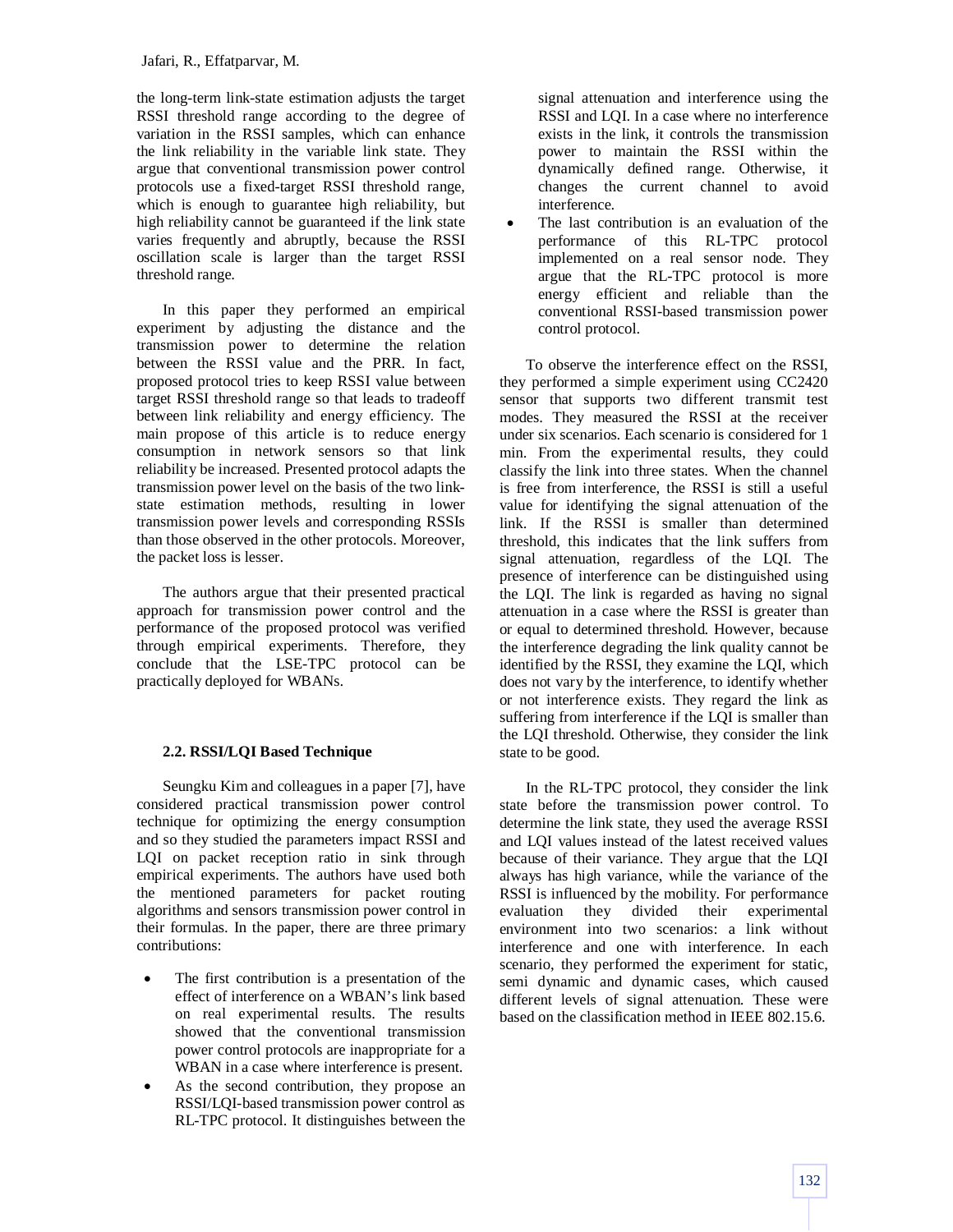the long-term link-state estimation adjusts the target RSSI threshold range according to the degree of variation in the RSSI samples, which can enhance the link reliability in the variable link state. They argue that conventional transmission power control protocols use a fixed-target RSSI threshold range, which is enough to guarantee high reliability, but high reliability cannot be guaranteed if the link state varies frequently and abruptly, because the RSSI oscillation scale is larger than the target RSSI threshold range.

In this paper they performed an empirical experiment by adjusting the distance and the transmission power to determine the relation between the RSSI value and the PRR. In fact, proposed protocol tries to keep RSSI value between target RSSI threshold range so that leads to tradeoff between link reliability and energy efficiency. The main propose of this article is to reduce energy consumption in network sensors so that link reliability be increased. Presented protocol adapts the transmission power level on the basis of the two linkstate estimation methods, resulting in lower transmission power levels and corresponding RSSIs than those observed in the other protocols. Moreover, the packet loss is lesser.

The authors argue that their presented practical approach for transmission power control and the performance of the proposed protocol was verified through empirical experiments. Therefore, they conclude that the LSE-TPC protocol can be practically deployed for WBANs.

# **2.2. RSSI/LQI Based Technique**

Seungku Kim and colleagues in a paper [7], have considered practical transmission power control technique for optimizing the energy consumption and so they studied the parameters impact RSSI and LQI on packet reception ratio in sink through empirical experiments. The authors have used both the mentioned parameters for packet routing algorithms and sensors transmission power control in their formulas. In the paper, there are three primary contributions:

- The first contribution is a presentation of the effect of interference on a WBAN's link based on real experimental results. The results showed that the conventional transmission power control protocols are inappropriate for a WBAN in a case where interference is present.
- As the second contribution, they propose an RSSI/LQI-based transmission power control as RL-TPC protocol. It distinguishes between the

signal attenuation and interference using the RSSI and LQI. In a case where no interference exists in the link, it controls the transmission power to maintain the RSSI within the dynamically defined range. Otherwise, it changes the current channel to avoid interference.

 The last contribution is an evaluation of the performance of this RL-TPC protocol implemented on a real sensor node. They argue that the RL-TPC protocol is more energy efficient and reliable than the conventional RSSI-based transmission power control protocol.

To observe the interference effect on the RSSI, they performed a simple experiment using CC2420 sensor that supports two different transmit test modes. They measured the RSSI at the receiver under six scenarios. Each scenario is considered for 1 min. From the experimental results, they could classify the link into three states. When the channel is free from interference, the RSSI is still a useful value for identifying the signal attenuation of the link. If the RSSI is smaller than determined threshold, this indicates that the link suffers from signal attenuation, regardless of the LQI. The presence of interference can be distinguished using the LQI. The link is regarded as having no signal attenuation in a case where the RSSI is greater than or equal to determined threshold. However, because the interference degrading the link quality cannot be identified by the RSSI, they examine the LQI, which does not vary by the interference, to identify whether or not interference exists. They regard the link as suffering from interference if the LQI is smaller than the LQI threshold. Otherwise, they consider the link state to be good.

In the RL-TPC protocol, they consider the link state before the transmission power control. To determine the link state, they used the average RSSI and LQI values instead of the latest received values because of their variance. They argue that the LQI always has high variance, while the variance of the RSSI is influenced by the mobility. For performance evaluation they divided their experimental environment into two scenarios: a link without interference and one with interference. In each scenario, they performed the experiment for static, semi dynamic and dynamic cases, which caused different levels of signal attenuation. These were based on the classification method in IEEE 802.15.6.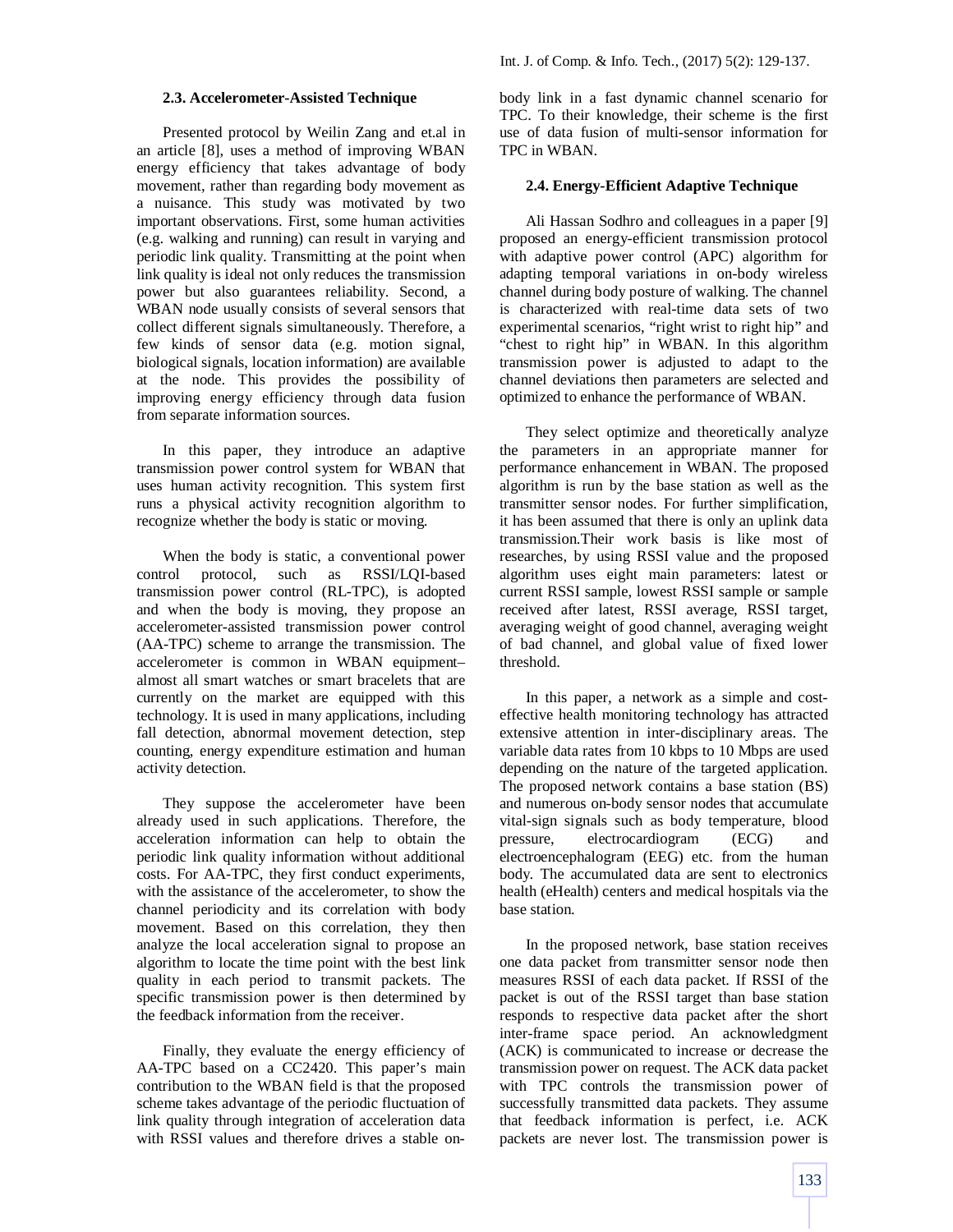#### **2.3. Accelerometer-Assisted Technique**

Presented protocol by Weilin Zang and et.al in an article [8], uses a method of improving WBAN energy efficiency that takes advantage of body movement, rather than regarding body movement as a nuisance. This study was motivated by two important observations. First, some human activities (e.g. walking and running) can result in varying and periodic link quality. Transmitting at the point when link quality is ideal not only reduces the transmission power but also guarantees reliability. Second, a WBAN node usually consists of several sensors that collect different signals simultaneously. Therefore, a few kinds of sensor data (e.g. motion signal, biological signals, location information) are available at the node. This provides the possibility of improving energy efficiency through data fusion from separate information sources.

In this paper, they introduce an adaptive transmission power control system for WBAN that uses human activity recognition. This system first runs a physical activity recognition algorithm to recognize whether the body is static or moving.

When the body is static, a conventional power control protocol, such as RSSI/LQI-based transmission power control (RL-TPC), is adopted and when the body is moving, they propose an accelerometer-assisted transmission power control (AA-TPC) scheme to arrange the transmission. The accelerometer is common in WBAN equipment– almost all smart watches or smart bracelets that are currently on the market are equipped with this technology. It is used in many applications, including fall detection, abnormal movement detection, step counting, energy expenditure estimation and human activity detection.

They suppose the accelerometer have been already used in such applications. Therefore, the acceleration information can help to obtain the periodic link quality information without additional costs. For AA-TPC, they first conduct experiments, with the assistance of the accelerometer, to show the channel periodicity and its correlation with body movement. Based on this correlation, they then analyze the local acceleration signal to propose an algorithm to locate the time point with the best link quality in each period to transmit packets. The specific transmission power is then determined by the feedback information from the receiver.

Finally, they evaluate the energy efficiency of AA-TPC based on a CC2420. This paper's main contribution to the WBAN field is that the proposed scheme takes advantage of the periodic fluctuation of link quality through integration of acceleration data with RSSI values and therefore drives a stable onbody link in a fast dynamic channel scenario for TPC. To their knowledge, their scheme is the first use of data fusion of multi-sensor information for TPC in WBAN.

#### **2.4. Energy-Efficient Adaptive Technique**

Ali Hassan Sodhro and colleagues in a paper [9] proposed an energy-efficient transmission protocol with adaptive power control (APC) algorithm for adapting temporal variations in on-body wireless channel during body posture of walking. The channel is characterized with real-time data sets of two experimental scenarios, "right wrist to right hip" and "chest to right hip" in WBAN. In this algorithm transmission power is adjusted to adapt to the channel deviations then parameters are selected and optimized to enhance the performance of WBAN.

They select optimize and theoretically analyze the parameters in an appropriate manner for performance enhancement in WBAN. The proposed algorithm is run by the base station as well as the transmitter sensor nodes. For further simplification, it has been assumed that there is only an uplink data transmission.Their work basis is like most of researches, by using RSSI value and the proposed algorithm uses eight main parameters: latest or current RSSI sample, lowest RSSI sample or sample received after latest, RSSI average, RSSI target, averaging weight of good channel, averaging weight of bad channel, and global value of fixed lower threshold.

In this paper, a network as a simple and costeffective health monitoring technology has attracted extensive attention in inter-disciplinary areas. The variable data rates from 10 kbps to 10 Mbps are used depending on the nature of the targeted application. The proposed network contains a base station (BS) and numerous on-body sensor nodes that accumulate vital-sign signals such as body temperature, blood pressure, electrocardiogram (ECG) and electroencephalogram (EEG) etc. from the human body. The accumulated data are sent to electronics health (eHealth) centers and medical hospitals via the base station.

In the proposed network, base station receives one data packet from transmitter sensor node then measures RSSI of each data packet. If RSSI of the packet is out of the RSSI target than base station responds to respective data packet after the short inter-frame space period. An acknowledgment (ACK) is communicated to increase or decrease the transmission power on request. The ACK data packet with TPC controls the transmission power of successfully transmitted data packets. They assume that feedback information is perfect, i.e. ACK packets are never lost. The transmission power is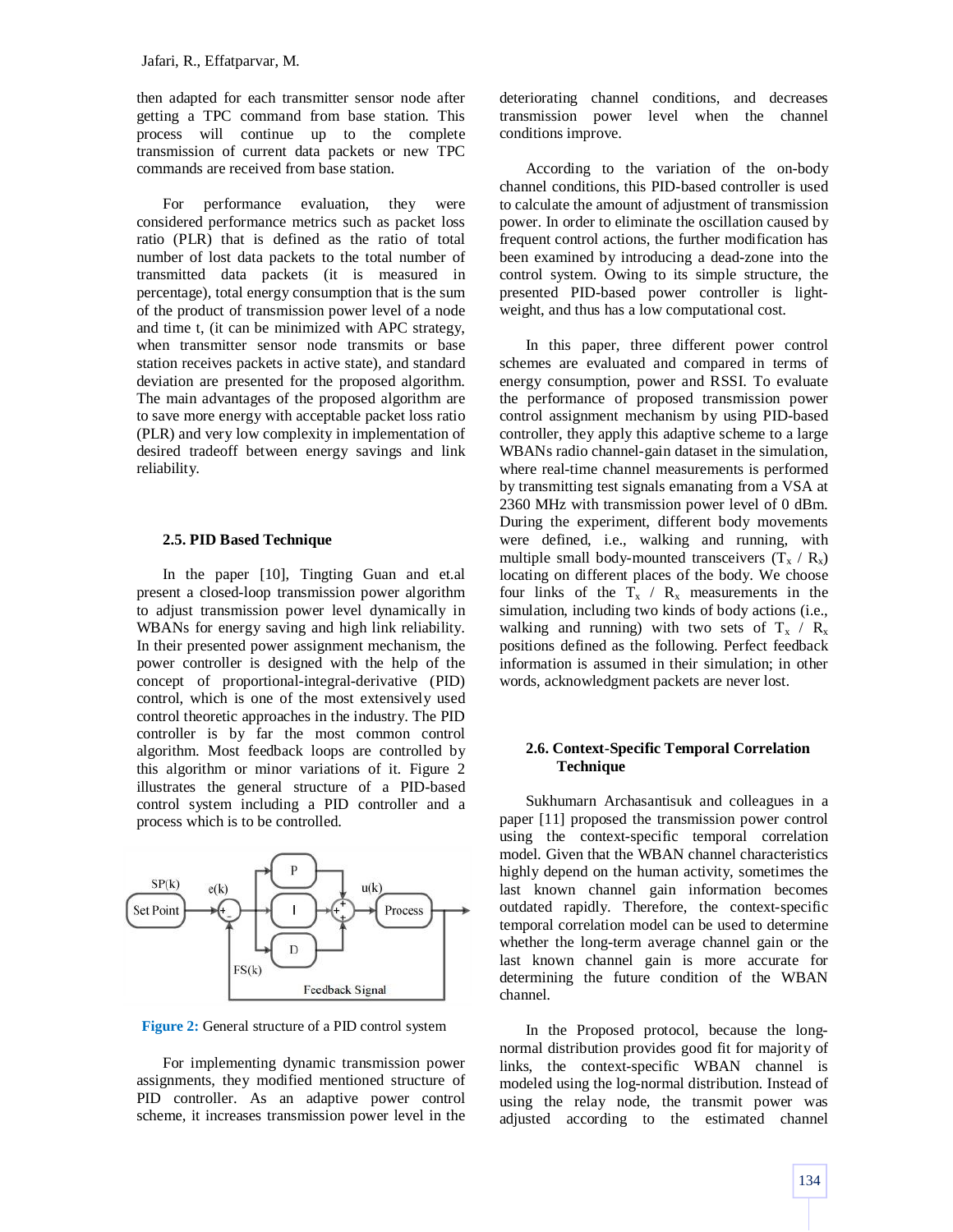then adapted for each transmitter sensor node after getting a TPC command from base station. This process will continue up to the complete transmission of current data packets or new TPC commands are received from base station.

For performance evaluation, they were considered performance metrics such as packet loss ratio (PLR) that is defined as the ratio of total number of lost data packets to the total number of transmitted data packets (it is measured in percentage), total energy consumption that is the sum of the product of transmission power level of a node and time t, (it can be minimized with APC strategy, when transmitter sensor node transmits or base station receives packets in active state), and standard deviation are presented for the proposed algorithm. The main advantages of the proposed algorithm are to save more energy with acceptable packet loss ratio (PLR) and very low complexity in implementation of desired tradeoff between energy savings and link reliability.

#### **2.5. PID Based Technique**

In the paper [10], Tingting Guan and et.al present a closed-loop transmission power algorithm to adjust transmission power level dynamically in WBANs for energy saving and high link reliability. In their presented power assignment mechanism, the power controller is designed with the help of the concept of proportional-integral-derivative (PID) control, which is one of the most extensively used control theoretic approaches in the industry. The PID controller is by far the most common control algorithm. Most feedback loops are controlled by this algorithm or minor variations of it. Figure 2 illustrates the general structure of a PID-based control system including a PID controller and a process which is to be controlled.



**Figure 2:** General structure of a PID control system

For implementing dynamic transmission power assignments, they modified mentioned structure of PID controller. As an adaptive power control scheme, it increases transmission power level in the deteriorating channel conditions, and decreases transmission power level when the channel conditions improve.

According to the variation of the on-body channel conditions, this PID-based controller is used to calculate the amount of adjustment of transmission power. In order to eliminate the oscillation caused by frequent control actions, the further modification has been examined by introducing a dead-zone into the control system. Owing to its simple structure, the presented PID-based power controller is lightweight, and thus has a low computational cost.

In this paper, three different power control schemes are evaluated and compared in terms of energy consumption, power and RSSI. To evaluate the performance of proposed transmission power control assignment mechanism by using PID-based controller, they apply this adaptive scheme to a large WBANs radio channel-gain dataset in the simulation, where real-time channel measurements is performed by transmitting test signals emanating from a VSA at 2360 MHz with transmission power level of 0 dBm. During the experiment, different body movements were defined, i.e., walking and running, with multiple small body-mounted transceivers  $(T_x / R_x)$ locating on different places of the body. We choose four links of the  $T_x / R_x$  measurements in the simulation, including two kinds of body actions (i.e., walking and running) with two sets of  $T_x / R_x$ positions defined as the following. Perfect feedback information is assumed in their simulation; in other words, acknowledgment packets are never lost.

## **2.6. Context-Specific Temporal Correlation Technique**

Sukhumarn Archasantisuk and colleagues in a paper [11] proposed the transmission power control using the context-specific temporal correlation model. Given that the WBAN channel characteristics highly depend on the human activity, sometimes the last known channel gain information becomes outdated rapidly. Therefore, the context-specific temporal correlation model can be used to determine whether the long-term average channel gain or the last known channel gain is more accurate for determining the future condition of the WBAN channel.

In the Proposed protocol, because the longnormal distribution provides good fit for majority of links, the context-specific WBAN channel is modeled using the log-normal distribution. Instead of using the relay node, the transmit power was adjusted according to the estimated channel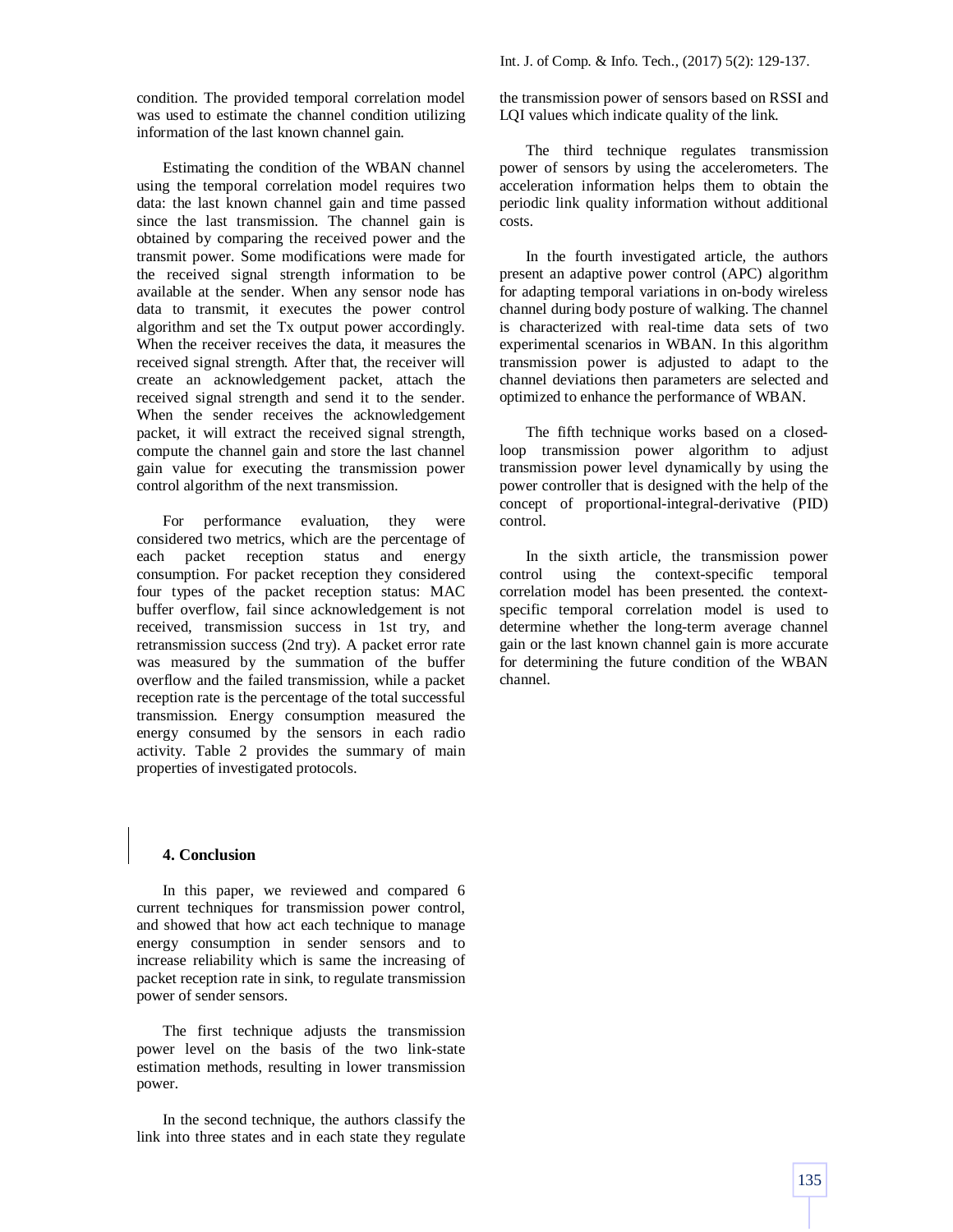condition. The provided temporal correlation model was used to estimate the channel condition utilizing information of the last known channel gain.

Estimating the condition of the WBAN channel using the temporal correlation model requires two data: the last known channel gain and time passed since the last transmission. The channel gain is obtained by comparing the received power and the transmit power. Some modifications were made for the received signal strength information to be available at the sender. When any sensor node has data to transmit, it executes the power control algorithm and set the Tx output power accordingly. When the receiver receives the data, it measures the received signal strength. After that, the receiver will create an acknowledgement packet, attach the received signal strength and send it to the sender. When the sender receives the acknowledgement packet, it will extract the received signal strength, compute the channel gain and store the last channel gain value for executing the transmission power control algorithm of the next transmission.

For performance evaluation, they were considered two metrics, which are the percentage of each packet reception status and energy consumption. For packet reception they considered four types of the packet reception status: MAC buffer overflow, fail since acknowledgement is not received, transmission success in 1st try, and retransmission success (2nd try). A packet error rate was measured by the summation of the buffer overflow and the failed transmission, while a packet reception rate is the percentage of the total successful transmission. Energy consumption measured the energy consumed by the sensors in each radio activity. Table 2 provides the summary of main properties of investigated protocols.

## **4. Conclusion**

In this paper, we reviewed and compared 6 current techniques for transmission power control, and showed that how act each technique to manage energy consumption in sender sensors and to increase reliability which is same the increasing of packet reception rate in sink, to regulate transmission power of sender sensors.

The first technique adjusts the transmission power level on the basis of the two link-state estimation methods, resulting in lower transmission power.

In the second technique, the authors classify the link into three states and in each state they regulate the transmission power of sensors based on RSSI and LQI values which indicate quality of the link.

The third technique regulates transmission power of sensors by using the accelerometers. The acceleration information helps them to obtain the periodic link quality information without additional costs.

In the fourth investigated article, the authors present an adaptive power control (APC) algorithm for adapting temporal variations in on-body wireless channel during body posture of walking. The channel is characterized with real-time data sets of two experimental scenarios in WBAN. In this algorithm transmission power is adjusted to adapt to the channel deviations then parameters are selected and optimized to enhance the performance of WBAN.

The fifth technique works based on a closedloop transmission power algorithm to adjust transmission power level dynamically by using the power controller that is designed with the help of the concept of proportional-integral-derivative (PID) control.

In the sixth article, the transmission power control using the context-specific temporal correlation model has been presented. the contextspecific temporal correlation model is used to determine whether the long-term average channel gain or the last known channel gain is more accurate for determining the future condition of the WBAN channel.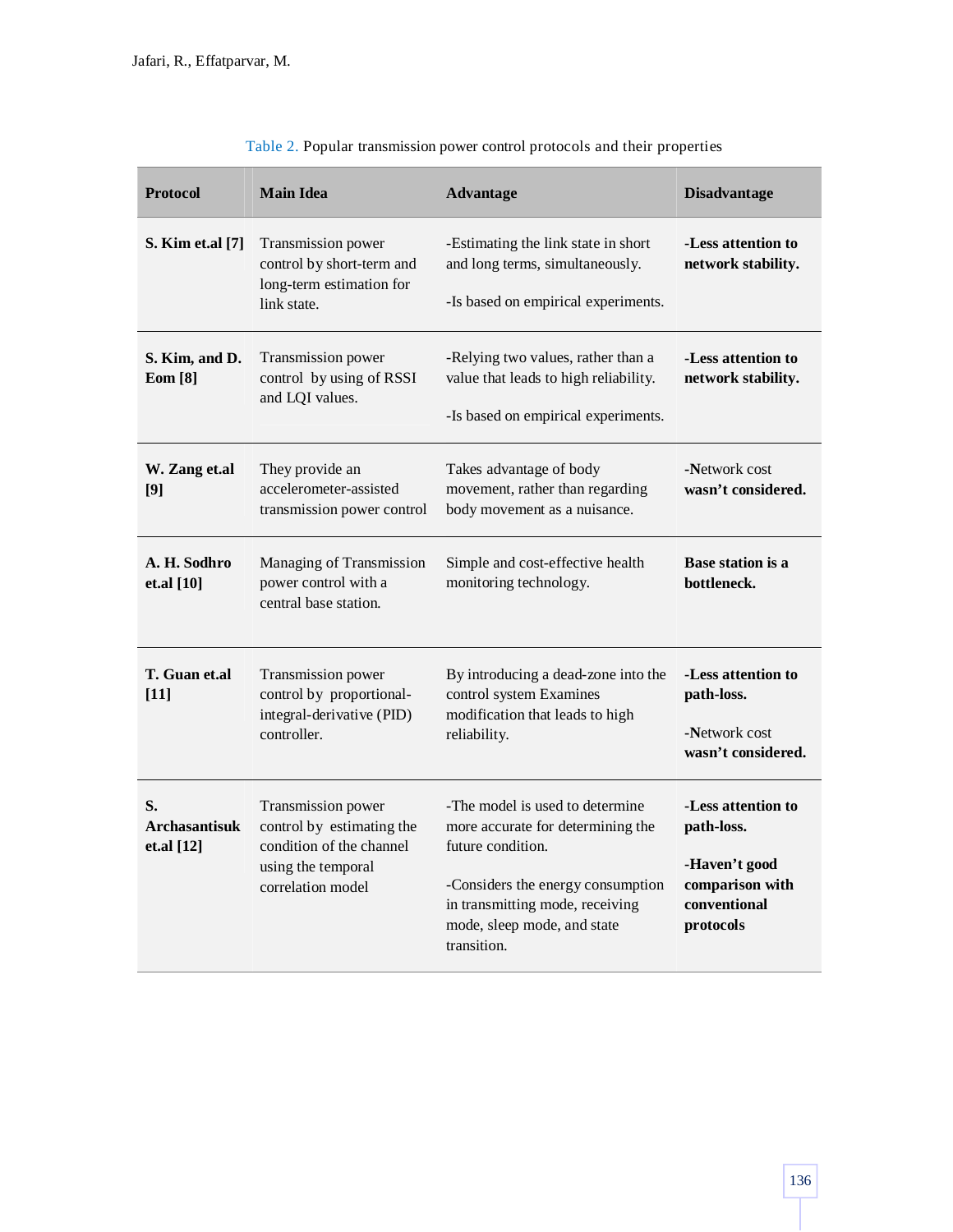| <b>Protocol</b>                          | <b>Main Idea</b>                                                                                                       | <b>Advantage</b>                                                                                                                                                                                                | <b>Disadvantage</b>                                                                               |
|------------------------------------------|------------------------------------------------------------------------------------------------------------------------|-----------------------------------------------------------------------------------------------------------------------------------------------------------------------------------------------------------------|---------------------------------------------------------------------------------------------------|
| S. Kim et.al [7]                         | Transmission power<br>control by short-term and<br>long-term estimation for<br>link state.                             | -Estimating the link state in short<br>and long terms, simultaneously.<br>-Is based on empirical experiments.                                                                                                   | -Less attention to<br>network stability.                                                          |
| S. Kim, and D.<br><b>Eom</b> [8]         | Transmission power<br>control by using of RSSI<br>and LQI values.                                                      | -Relying two values, rather than a<br>value that leads to high reliability.<br>-Is based on empirical experiments.                                                                                              | -Less attention to<br>network stability.                                                          |
| W. Zang et.al<br>[9]                     | They provide an<br>accelerometer-assisted<br>transmission power control                                                | Takes advantage of body<br>movement, rather than regarding<br>body movement as a nuisance.                                                                                                                      | -Network cost<br>wasn't considered.                                                               |
| A. H. Sodhro<br>et.al $[10]$             | Managing of Transmission<br>power control with a<br>central base station.                                              | Simple and cost-effective health<br>monitoring technology.                                                                                                                                                      | Base station is a<br>bottleneck.                                                                  |
| T. Guan et.al<br>$[11]$                  | Transmission power<br>control by proportional-<br>integral-derivative (PID)<br>controller.                             | By introducing a dead-zone into the<br>control system Examines<br>modification that leads to high<br>reliability.                                                                                               | -Less attention to<br>path-loss.<br>-Network cost<br>wasn't considered.                           |
| S.<br><b>Archasantisuk</b><br>et.al [12] | Transmission power<br>control by estimating the<br>condition of the channel<br>using the temporal<br>correlation model | -The model is used to determine<br>more accurate for determining the<br>future condition.<br>-Considers the energy consumption<br>in transmitting mode, receiving<br>mode, sleep mode, and state<br>transition. | -Less attention to<br>path-loss.<br>-Haven't good<br>comparison with<br>conventional<br>protocols |

|  | Table 2. Popular transmission power control protocols and their properties |  |  |
|--|----------------------------------------------------------------------------|--|--|
|--|----------------------------------------------------------------------------|--|--|